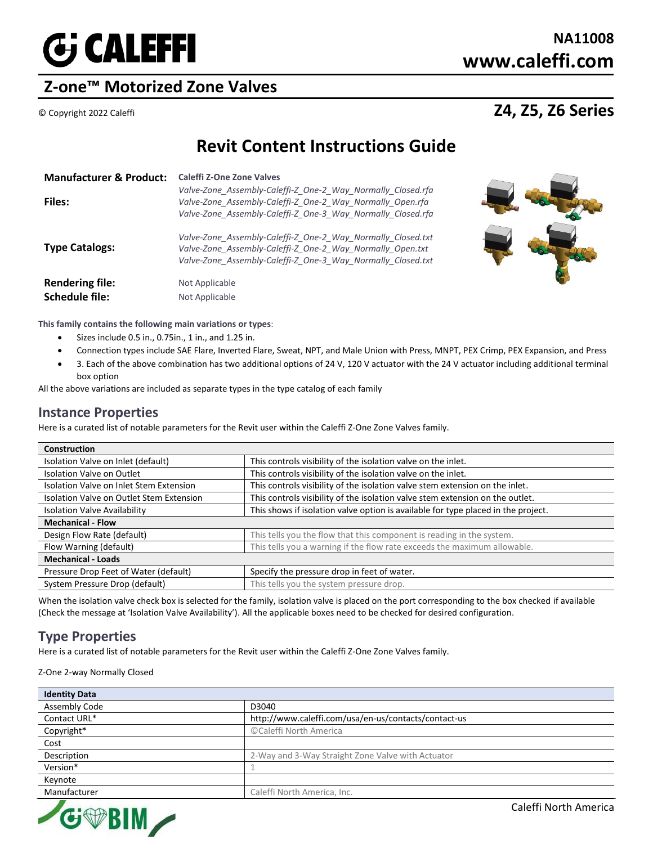

# **Z-one™ Motorized Zone Valves**

## © Copyright 2022 Caleffi **Z4, Z5, Z6 Series**

# **Revit Content Instructions Guide**

| <b>Manufacturer &amp; Product:</b><br><b>Files:</b> | Caleffi Z-One Zone Valves<br>Valve-Zone Assembly-Caleffi-Z One-2 Way Normally Closed.rfa<br>Valve-Zone Assembly-Caleffi-Z One-2 Way Normally Open.rfa<br>Valve-Zone Assembly-Caleffi-Z One-3 Way Normally Closed.rfa |
|-----------------------------------------------------|----------------------------------------------------------------------------------------------------------------------------------------------------------------------------------------------------------------------|
| <b>Type Catalogs:</b>                               | Valve-Zone Assembly-Caleffi-Z One-2 Way Normally Closed.txt<br>Valve-Zone Assembly-Caleffi-Z One-2 Way Normally Open.txt<br>Valve-Zone Assembly-Caleffi-Z One-3 Way Normally Closed.txt                              |
| <b>Rendering file:</b><br><b>Schedule file:</b>     | Not Applicable<br>Not Applicable                                                                                                                                                                                     |



- Sizes include 0.5 in., 0.75in., 1 in., and 1.25 in.
- Connection types include SAE Flare, Inverted Flare, Sweat, NPT, and Male Union with Press, MNPT, PEX Crimp, PEX Expansion, and Press
- 3. Each of the above combination has two additional options of 24 V, 120 V actuator with the 24 V actuator including additional terminal box option

All the above variations are included as separate types in the type catalog of each family

#### **Instance Properties**

Here is a curated list of notable parameters for the Revit user within the Caleffi Z-One Zone Valves family.

| <b>Construction</b>                      |                                                                                   |  |
|------------------------------------------|-----------------------------------------------------------------------------------|--|
| Isolation Valve on Inlet (default)       | This controls visibility of the isolation valve on the inlet.                     |  |
| Isolation Valve on Outlet                | This controls visibility of the isolation valve on the inlet.                     |  |
| Isolation Valve on Inlet Stem Extension  | This controls visibility of the isolation valve stem extension on the inlet.      |  |
| Isolation Valve on Outlet Stem Extension | This controls visibility of the isolation valve stem extension on the outlet.     |  |
| <b>Isolation Valve Availability</b>      | This shows if isolation valve option is available for type placed in the project. |  |
| <b>Mechanical - Flow</b>                 |                                                                                   |  |
| Design Flow Rate (default)               | This tells you the flow that this component is reading in the system.             |  |
| Flow Warning (default)                   | This tells you a warning if the flow rate exceeds the maximum allowable.          |  |
| <b>Mechanical - Loads</b>                |                                                                                   |  |
| Pressure Drop Feet of Water (default)    | Specify the pressure drop in feet of water.                                       |  |
| System Pressure Drop (default)           | This tells you the system pressure drop.                                          |  |

When the isolation valve check box is selected for the family, isolation valve is placed on the port corresponding to the box checked if available (Check the message at 'Isolation Valve Availability'). All the applicable boxes need to be checked for desired configuration.

#### **Type Properties**

Here is a curated list of notable parameters for the Revit user within the Caleffi Z-One Zone Valves family.

Z-One 2-way Normally Closed

| <b>Identity Data</b> |                                                      |
|----------------------|------------------------------------------------------|
| <b>Assembly Code</b> | D3040                                                |
| Contact URL*         | http://www.caleffi.com/usa/en-us/contacts/contact-us |
| Copyright*           | ©Caleffi North America                               |
| Cost                 |                                                      |
| Description          | 2-Way and 3-Way Straight Zone Valve with Actuator    |
| Version*             |                                                      |
| Keynote              |                                                      |
| Manufacturer         | Caleffi North America, Inc.                          |



Caleffi North America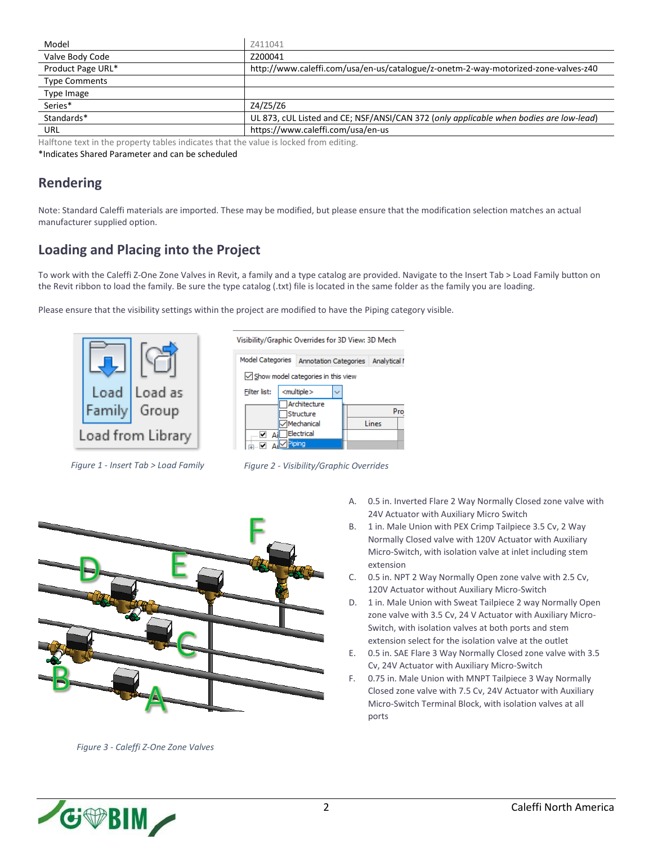| Model                | Z411041                                                                                |
|----------------------|----------------------------------------------------------------------------------------|
| Valve Body Code      | Z200041                                                                                |
| Product Page URL*    | http://www.caleffi.com/usa/en-us/catalogue/z-onetm-2-way-motorized-zone-valves-z40     |
| <b>Type Comments</b> |                                                                                        |
| Type Image           |                                                                                        |
| Series*              | Z4/Z5/Z6                                                                               |
| Standards*           | UL 873, cUL Listed and CE; NSF/ANSI/CAN 372 (only applicable when bodies are low-lead) |
| URL                  | https://www.caleffi.com/usa/en-us                                                      |

Halftone text in the property tables indicates that the value is locked from editing.

\*Indicates Shared Parameter and can be scheduled

#### **Rendering**

Note: Standard Caleffi materials are imported. These may be modified, but please ensure that the modification selection matches an actual manufacturer supplied option.

### **Loading and Placing into the Project**

To work with the Caleffi Z-One Zone Valves in Revit, a family and a type catalog are provided. Navigate to the Insert Tab > Load Family button on the Revit ribbon to load the family. Be sure the type catalog (.txt) file is located in the same folder as the family you are loading.

Please ensure that the visibility settings within the project are modified to have the Piping category visible.









*Figure 3 - Caleffi Z-One Zone Valves*

- A. 0.5 in. Inverted Flare 2 Way Normally Closed zone valve with 24V Actuator with Auxiliary Micro Switch
- B. 1 in. Male Union with PEX Crimp Tailpiece 3.5 Cv, 2 Way Normally Closed valve with 120V Actuator with Auxiliary Micro-Switch, with isolation valve at inlet including stem extension
- C. 0.5 in. NPT 2 Way Normally Open zone valve with 2.5 Cv, 120V Actuator without Auxiliary Micro-Switch
- D. 1 in. Male Union with Sweat Tailpiece 2 way Normally Open zone valve with 3.5 Cv, 24 V Actuator with Auxiliary Micro-Switch, with isolation valves at both ports and stem extension select for the isolation valve at the outlet
- E. 0.5 in. SAE Flare 3 Way Normally Closed zone valve with 3.5 Cv, 24V Actuator with Auxiliary Micro-Switch
- F. 0.75 in. Male Union with MNPT Tailpiece 3 Way Normally Closed zone valve with 7.5 Cv, 24V Actuator with Auxiliary Micro-Switch Terminal Block, with isolation valves at all ports